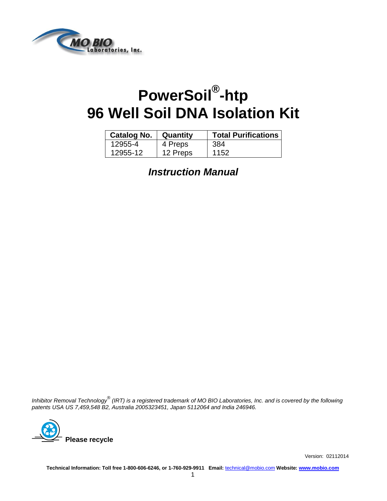

# **PowerSoil® -htp 96 Well Soil DNA Isolation Kit**

| <b>Catalog No.</b> | Quantity | <b>Total Purifications</b> |
|--------------------|----------|----------------------------|
| 12955-4            | 4 Preps  | -384                       |
| 12955-12           | 12 Preps | 1152                       |

*Instruction Manual*

*Inhibitor Removal Technology® (IRT) is a registered trademark of MO BIO Laboratories, Inc. and is covered by the following patents USA US 7,459,548 B2, Australia 2005323451, Japan 5112064 and India 246946.*



Version: 02112014

**Technical Information: Toll free 1-800-606-6246, or 1-760-929-9911 Email:** [technical@mobio.com](mailto:technical@mobio.com) **Website: [www.mobio.com](http://www.mobio.com/)**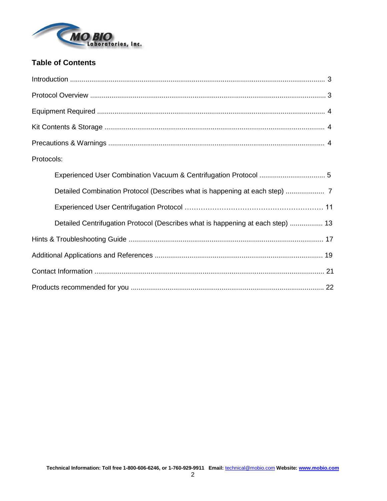

### **Table of Contents**

| Protocols:                                                                      |
|---------------------------------------------------------------------------------|
|                                                                                 |
|                                                                                 |
|                                                                                 |
| Detailed Centrifugation Protocol (Describes what is happening at each step)  13 |
|                                                                                 |
|                                                                                 |
|                                                                                 |
|                                                                                 |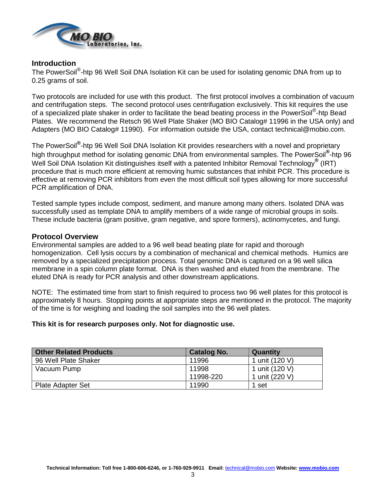

### **Introduction**

The PowerSoil<sup>®</sup>-htp 96 Well Soil DNA Isolation Kit can be used for isolating genomic DNA from up to 0.25 grams of soil.

Two protocols are included for use with this product. The first protocol involves a combination of vacuum and centrifugation steps. The second protocol uses centrifugation exclusively. This kit requires the use of a specialized plate shaker in order to facilitate the bead beating process in the PowerSoil<sup>®</sup>-htp Bead Plates. We recommend the Retsch 96 Well Plate Shaker (MO BIO Catalog# 11996 in the USA only) and Adapters (MO BIO Catalog# 11990). For information outside the USA, contact technical@mobio.com.

The PowerSoil**®** -htp 96 Well Soil DNA Isolation Kit provides researchers with a novel and proprietary high throughput method for isolating genomic DNA from environmental samples. The PowerSoil**®** -htp 96 Well Soil DNA Isolation Kit distinguishes itself with a patented Inhibitor Removal Technology**®** (IRT) procedure that is much more efficient at removing humic substances that inhibit PCR. This procedure is effective at removing PCR inhibitors from even the most difficult soil types allowing for more successful PCR amplification of DNA.

Tested sample types include compost, sediment, and manure among many others. Isolated DNA was successfully used as template DNA to amplify members of a wide range of microbial groups in soils. These include bacteria (gram positive, gram negative, and spore formers), actinomycetes, and fungi.

### **Protocol Overview**

Environmental samples are added to a 96 well bead beating plate for rapid and thorough homogenization. Cell lysis occurs by a combination of mechanical and chemical methods. Humics are removed by a specialized precipitation process. Total genomic DNA is captured on a 96 well silica membrane in a spin column plate format. DNA is then washed and eluted from the membrane. The eluted DNA is ready for PCR analysis and other downstream applications.

NOTE: The estimated time from start to finish required to process two 96 well plates for this protocol is approximately 8 hours. Stopping points at appropriate steps are mentioned in the protocol. The majority of the time is for weighing and loading the soil samples into the 96 well plates.

### **This kit is for research purposes only. Not for diagnostic use.**

| <b>Other Related Products</b> | <b>Catalog No.</b> | Quantity       |
|-------------------------------|--------------------|----------------|
| 96 Well Plate Shaker          | 11996              | 1 unit (120 V) |
| Vacuum Pump                   | 11998              | 1 unit (120 V) |
|                               | 11998-220          | 1 unit (220 V) |
| <b>Plate Adapter Set</b>      | 11990              | 1 set          |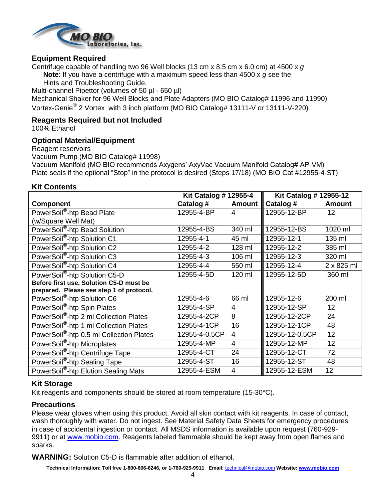

### **Equipment Required**

Centrifuge capable of handling two 96 Well blocks (13 cm x 8.5 cm x 6.0 cm) at 4500 x *g*

**Note**: If you have a centrifuge with a maximum speed less than 4500 x *g* see the

Hints and Troubleshooting Guide.

Multi-channel Pipettor (volumes of 50 µl - 650 µl)

Mechanical Shaker for 96 Well Blocks and Plate Adapters (MO BIO Catalog# 11996 and 11990) Vortex-Genie<sup>®</sup> 2 Vortex with 3 inch platform (MO BIO Catalog# 13111-V or 13111-V-220)

### **Reagents Required but not Included**

100% Ethanol

### **Optional Material/Equipment**

Reagent reservoirs

Vacuum Pump (MO BIO Catalog# 11998)

Vacuum Manifold (MO BIO recommends Axygens' AxyVac Vacuum Manifold Catalog# AP-VM) Plate seals if the optional "Stop" in the protocol is desired (Steps 17/18) (MO BIO Cat #12955-4-ST)

### **Kit Contents**

|                                                    | <b>Kit Catalog # 12955-4</b> |                | Kit Catalog # 12955-12 |               |
|----------------------------------------------------|------------------------------|----------------|------------------------|---------------|
| <b>Component</b>                                   | Catalog #                    | <b>Amount</b>  | Catalog #              | <b>Amount</b> |
| PowerSoil <sup>®</sup> -htp Bead Plate             | 12955-4-BP                   | 4              | 12955-12-BP            | 12            |
| (w/Square Well Mat)                                |                              |                |                        |               |
| PowerSoil®-htp Bead Solution                       | 12955-4-BS                   | 340 ml         | 12955-12-BS            | 1020 ml       |
| PowerSoil <sup>®</sup> -htp Solution C1            | 12955-4-1                    | 45 ml          | 12955-12-1             | 135 ml        |
| PowerSoil <sup>®</sup> -htp Solution C2            | 12955-4-2                    | 128 ml         | 12955-12-2             | 385 ml        |
| PowerSoil <sup>®</sup> -htp Solution C3            | 12955-4-3                    | 106 ml         | 12955-12-3             | 320 ml        |
| PowerSoil <sup>®</sup> -htp Solution C4            | 12955-4-4                    | 550 ml         | 12955-12-4             | 2 x 825 ml    |
| PowerSoil®-htp Solution C5-D                       | 12955-4-5D                   | 120 ml         | 12955-12-5D            | 360 ml        |
| Before first use, Solution C5-D must be            |                              |                |                        |               |
| prepared. Please see step 1 of protocol.           |                              |                |                        |               |
| PowerSoil <sup>®</sup> -htp Solution C6            | 12955-4-6                    | 66 ml          | 12955-12-6             | 200 ml        |
| PowerSoil <sup>®</sup> -htp Spin Plates            | 12955-4-SP                   | 4              | 12955-12-SP            | 12            |
| PowerSoil <sup>®</sup> -htp 2 ml Collection Plates | 12955-4-2CP                  | 8              | 12955-12-2CP           | 24            |
| PowerSoil®-htp 1 ml Collection Plates              | 12955-4-1CP                  | 16             | 12955-12-1CP           | 48            |
| PowerSoil®-htp 0.5 ml Collection Plates            | 12955-4-0.5CP                | 4              | 12955-12-0.5CP         | 12            |
| PowerSoil <sup>®</sup> -htp Microplates            | 12955-4-MP                   | $\overline{4}$ | 12955-12-MP            | 12            |
| PowerSoil <sup>®</sup> -htp Centrifuge Tape        | 12955-4-CT                   | 24             | 12955-12-CT            | 72            |
| PowerSoil <sup>®</sup> -htp Sealing Tape           | 12955-4-ST                   | 16             | 12955-12-ST            | 48            |
| PowerSoil <sup>®</sup> -htp Elution Sealing Mats   | 12955-4-ESM                  | $\overline{4}$ | 12955-12-ESM           | 12            |

### **Kit Storage**

Kit reagents and components should be stored at room temperature (15-30°C).

### **Precautions**

Please wear gloves when using this product. Avoid all skin contact with kit reagents. In case of contact, wash thoroughly with water. Do not ingest. See Material Safety Data Sheets for emergency procedures in case of accidental ingestion or contact. All MSDS information is available upon request (760-929 9911) or at [www.mobio.com.](http://www.mobio.com/) Reagents labeled flammable should be kept away from open flames and sparks.

**WARNING:** Solution C5-D is flammable after addition of ethanol.

**Technical Information: Toll free 1-800-606-6246, or 1-760-929-9911 Email:** [technical@mobio.com](mailto:technical@mobio.com) **Website: [www.mobio.com](http://www.mobio.com/)**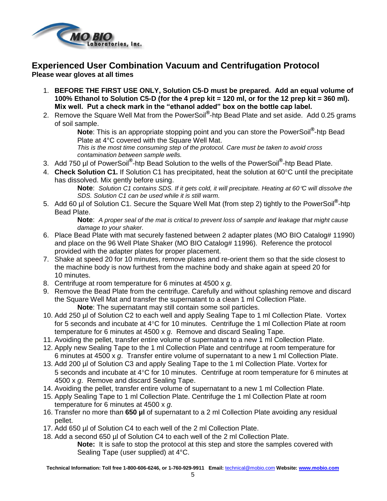

### **Experienced User Combination Vacuum and Centrifugation Protocol Please wear gloves at all times**

- 1. **BEFORE THE FIRST USE ONLY, Solution C5-D must be prepared. Add an equal volume of 100% Ethanol to Solution C5-D (for the 4 prep kit = 120 ml, or for the 12 prep kit = 360 ml). Mix well. Put a check mark in the "ethanol added" box on the bottle cap label.**
- 2. Remove the Square Well Mat from the PowerSoil**®** -htp Bead Plate and set aside. Add 0.25 grams of soil sample.

**Note**: This is an appropriate stopping point and you can store the PowerSoil**®** -htp Bead Plate at 4°C covered with the Square Well Mat.

*This is the most time consuming step of the protocol. Care must be taken to avoid cross contamination between sample wells.*

- 3. Add 750 µl of PowerSoil**®** -htp Bead Solution to the wells of the PowerSoil**®** -htp Bead Plate.
- 4. **Check Solution C1.** If Solution C1 has precipitated, heat the solution at 60°C until the precipitate has dissolved. Mix gently before using.

**Note**: *Solution C1 contains SDS. If it gets cold, it will precipitate. Heating at 60C will dissolve the SDS. Solution C1 can be used while it is still warm.*

5. Add 60 µl of Solution C1. Secure the Square Well Mat (from step 2) tightly to the PowerSoil**®** -htp Bead Plate.

**Note**: *A proper seal of the mat is critical to prevent loss of sample and leakage that might cause damage to your shaker.*

- 6. Place Bead Plate with mat securely fastened between 2 adapter plates (MO BIO Catalog# 11990) and place on the 96 Well Plate Shaker (MO BIO Catalog# 11996). Reference the protocol provided with the adapter plates for proper placement.
- 7. Shake at speed 20 for 10 minutes, remove plates and re-orient them so that the side closest to the machine body is now furthest from the machine body and shake again at speed 20 for 10 minutes.
- 8. Centrifuge at room temperature for 6 minutes at 4500 x *g*.
- 9. Remove the Bead Plate from the centrifuge. Carefully and without splashing remove and discard the Square Well Mat and transfer the supernatant to a clean 1 ml Collection Plate. **Note**: The supernatant may still contain some soil particles.
- 10. Add 250 µl of Solution C2 to each well and apply Sealing Tape to 1 ml Collection Plate. Vortex for 5 seconds and incubate at  $4^{\circ}$ C for 10 minutes. Centrifuge the 1 ml Collection Plate at room temperature for 6 minutes at 4500 x *g*. Remove and discard Sealing Tape.
- 11. Avoiding the pellet, transfer entire volume of supernatant to a new 1 ml Collection Plate.
- 12. Apply new Sealing Tape to the 1 ml Collection Plate and centrifuge at room temperature for 6 minutes at 4500 x *g*. Transfer entire volume of supernatant to a new 1 ml Collection Plate.
- 13. Add 200 µl of Solution C3 and apply Sealing Tape to the 1 ml Collection Plate. Vortex for 5 seconds and incubate at  $4^{\circ}$ C for 10 minutes. Centrifuge at room temperature for 6 minutes at 4500 x *g*. Remove and discard Sealing Tape.
- 14. Avoiding the pellet, transfer entire volume of supernatant to a new 1 ml Collection Plate.
- 15. Apply Sealing Tape to 1 ml Collection Plate. Centrifuge the 1 ml Collection Plate at room temperature for 6 minutes at 4500 x *g*.
- 16. Transfer no more than **650 µl** of supernatant to a 2 ml Collection Plate avoiding any residual pellet.
- 17. Add 650 µl of Solution C4 to each well of the 2 ml Collection Plate.
- 18. Add a second 650 µl of Solution C4 to each well of the 2 ml Collection Plate. **Note:** It is safe to stop the protocol at this step and store the samples covered with Sealing Tape (user supplied) at 4°C.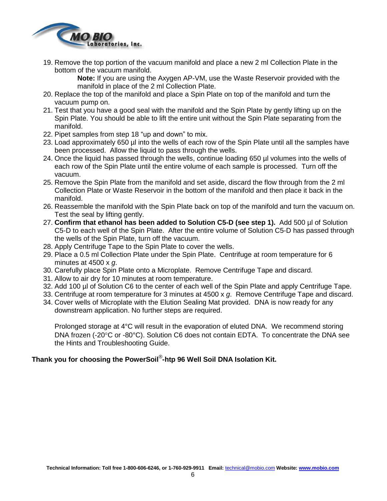

19. Remove the top portion of the vacuum manifold and place a new 2 ml Collection Plate in the bottom of the vacuum manifold.

**Note:** If you are using the Axygen AP-VM, use the Waste Reservoir provided with the manifold in place of the 2 ml Collection Plate.

- 20. Replace the top of the manifold and place a Spin Plate on top of the manifold and turn the vacuum pump on.
- 21. Test that you have a good seal with the manifold and the Spin Plate by gently lifting up on the Spin Plate. You should be able to lift the entire unit without the Spin Plate separating from the manifold.
- 22. Pipet samples from step 18 "up and down" to mix.
- 23. Load approximately 650 µl into the wells of each row of the Spin Plate until all the samples have been processed. Allow the liquid to pass through the wells.
- 24. Once the liquid has passed through the wells, continue loading 650 µl volumes into the wells of each row of the Spin Plate until the entire volume of each sample is processed. Turn off the vacuum.
- 25. Remove the Spin Plate from the manifold and set aside, discard the flow through from the 2 ml Collection Plate or Waste Reservoir in the bottom of the manifold and then place it back in the manifold.
- 26. Reassemble the manifold with the Spin Plate back on top of the manifold and turn the vacuum on. Test the seal by lifting gently.
- 27. **Confirm that ethanol has been added to Solution C5-D (see step 1).** Add 500 µl of Solution C5-D to each well of the Spin Plate. After the entire volume of Solution C5-D has passed through the wells of the Spin Plate, turn off the vacuum.
- 28. Apply Centrifuge Tape to the Spin Plate to cover the wells.
- 29. Place a 0.5 ml Collection Plate under the Spin Plate. Centrifuge at room temperature for 6 minutes at 4500 x *g*.
- 30. Carefully place Spin Plate onto a Microplate. Remove Centrifuge Tape and discard.
- 31. Allow to air dry for 10 minutes at room temperature.
- 32. Add 100 µl of Solution C6 to the center of each well of the Spin Plate and apply Centrifuge Tape.
- 33. Centrifuge at room temperature for 3 minutes at 4500 x *g*. Remove Centrifuge Tape and discard.
- 34. Cover wells of Microplate with the Elution Sealing Mat provided. DNA is now ready for any downstream application. No further steps are required.

Prolonged storage at 4°C will result in the evaporation of eluted DNA. We recommend storing DNA frozen  $(-20^{\circ}$ C or  $-80^{\circ}$ C). Solution C6 does not contain EDTA. To concentrate the DNA see the Hints and Troubleshooting Guide.

### **Thank you for choosing the PowerSoil**® **-htp 96 Well Soil DNA Isolation Kit.**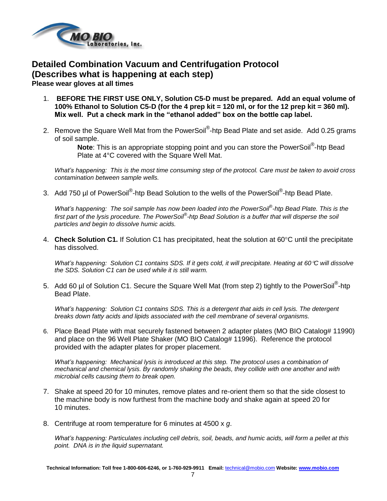

### **Detailed Combination Vacuum and Centrifugation Protocol (Describes what is happening at each step) Please wear gloves at all times**

- 1. **BEFORE THE FIRST USE ONLY, Solution C5-D must be prepared. Add an equal volume of 100% Ethanol to Solution C5-D (for the 4 prep kit = 120 ml, or for the 12 prep kit = 360 ml). Mix well. Put a check mark in the "ethanol added" box on the bottle cap label.**
- 2. Remove the Square Well Mat from the PowerSoil®-htp Bead Plate and set aside. Add 0.25 grams of soil sample.

Note: This is an appropriate stopping point and you can store the PowerSoil<sup>®</sup>-htp Bead Plate at 4°C covered with the Square Well Mat.

*What's happening: This is the most time consuming step of the protocol. Care must be taken to avoid cross contamination between sample wells.* 

3. Add 750 µl of PowerSoil®-htp Bead Solution to the wells of the PowerSoil®-htp Bead Plate.

*What's happening: The soil sample has now been loaded into the PowerSoil*® *-htp Bead Plate. This is the first part of the lysis procedure. The PowerSoil*® *-htp Bead Solution is a buffer that will disperse the soil particles and begin to dissolve humic acids.*

4. **Check Solution C1.** If Solution C1 has precipitated, heat the solution at 60°C until the precipitate has dissolved.

*What's happening: Solution C1 contains SDS. If it gets cold, it will precipitate. Heating at 60C will dissolve the SDS. Solution C1 can be used while it is still warm.*

5. Add 60 µl of Solution C1. Secure the Square Well Mat (from step 2) tightly to the PowerSoil<sup>®</sup>-htp Bead Plate.

*What's happening: Solution C1 contains SDS. This is a detergent that aids in cell lysis. The detergent breaks down fatty acids and lipids associated with the cell membrane of several organisms.*

6. Place Bead Plate with mat securely fastened between 2 adapter plates (MO BIO Catalog# 11990) and place on the 96 Well Plate Shaker (MO BIO Catalog# 11996). Reference the protocol provided with the adapter plates for proper placement.

*What's happening: Mechanical lysis is introduced at this step. The protocol uses a combination of mechanical and chemical lysis. By randomly shaking the beads, they collide with one another and with microbial cells causing them to break open.*

- 7. Shake at speed 20 for 10 minutes, remove plates and re-orient them so that the side closest to the machine body is now furthest from the machine body and shake again at speed 20 for 10 minutes.
- 8. Centrifuge at room temperature for 6 minutes at 4500 x *g*.

*What's happening: Particulates including cell debris, soil, beads, and humic acids, will form a pellet at this point. DNA is in the liquid supernatant.*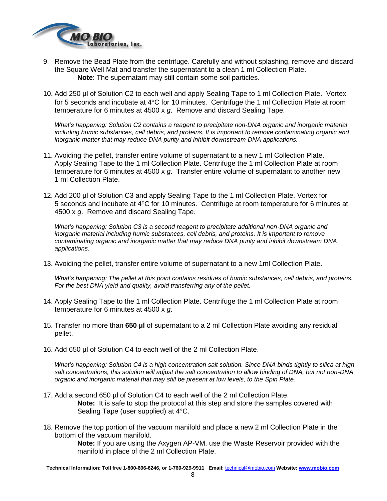

- 9. Remove the Bead Plate from the centrifuge. Carefully and without splashing, remove and discard the Square Well Mat and transfer the supernatant to a clean 1 ml Collection Plate. **Note**: The supernatant may still contain some soil particles.
- 10. Add 250 µl of Solution C2 to each well and apply Sealing Tape to 1 ml Collection Plate. Vortex for 5 seconds and incubate at  $4^{\circ}$ C for 10 minutes. Centrifuge the 1 ml Collection Plate at room temperature for 6 minutes at 4500 x *g*. Remove and discard Sealing Tape.

*What's happening: Solution C2 contains a reagent to precipitate non-DNA organic and inorganic material including humic substances, cell debris, and proteins. It is important to remove contaminating organic and inorganic matter that may reduce DNA purity and inhibit downstream DNA applications.*

- 11. Avoiding the pellet, transfer entire volume of supernatant to a new 1 ml Collection Plate. Apply Sealing Tape to the 1 ml Collection Plate. Centrifuge the 1 ml Collection Plate at room temperature for 6 minutes at 4500 x *g*. Transfer entire volume of supernatant to another new 1 ml Collection Plate.
- 12. Add 200 µl of Solution C3 and apply Sealing Tape to the 1 ml Collection Plate. Vortex for 5 seconds and incubate at  $4^{\circ}$ C for 10 minutes. Centrifuge at room temperature for 6 minutes at 4500 x *g*. Remove and discard Sealing Tape.

*What's happening: Solution C3 is a second reagent to precipitate additional non-DNA organic and inorganic material including humic substances, cell debris, and proteins. It is important to remove contaminating organic and inorganic matter that may reduce DNA purity and inhibit downstream DNA applications.*

13. Avoiding the pellet, transfer entire volume of supernatant to a new 1ml Collection Plate.

*What's happening: The pellet at this point contains residues of humic substances, cell debris, and proteins. For the best DNA yield and quality, avoid transferring any of the pellet.*

- 14. Apply Sealing Tape to the 1 ml Collection Plate. Centrifuge the 1 ml Collection Plate at room temperature for 6 minutes at 4500 x *g*.
- 15. Transfer no more than **650 µl** of supernatant to a 2 ml Collection Plate avoiding any residual pellet.
- 16. Add 650 µl of Solution C4 to each well of the 2 ml Collection Plate.

*What's happening: Solution C4 is a high concentration salt solution. Since DNA binds tightly to silica at high salt concentrations, this solution will adjust the salt concentration to allow binding of DNA, but not non-DNA organic and inorganic material that may still be present at low levels, to the Spin Plate.*

- 17. Add a second 650 µl of Solution C4 to each well of the 2 ml Collection Plate. **Note:** It is safe to stop the protocol at this step and store the samples covered with Sealing Tape (user supplied) at 4°C.
- 18. Remove the top portion of the vacuum manifold and place a new 2 ml Collection Plate in the bottom of the vacuum manifold.

**Note:** If you are using the Axygen AP-VM, use the Waste Reservoir provided with the manifold in place of the 2 ml Collection Plate.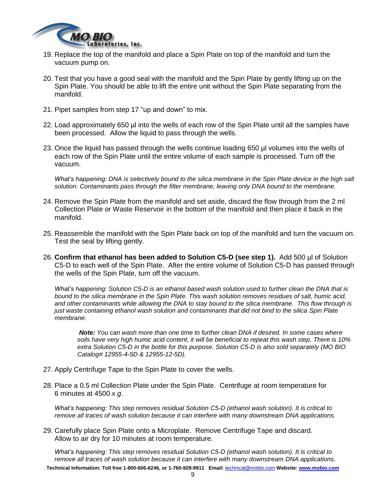

- 19. Replace the top of the manifold and place a Spin Plate on top of the manifold and turn the vacuum pump on.
- 20. Test that you have a good seal with the manifold and the Spin Plate by gently lifting up on the Spin Plate. You should be able to lift the entire unit without the Spin Plate separating from the manifold.
- 21. Pipet samples from step 17 "up and down" to mix.
- 22. Load approximately 650 µl into the wells of each row of the Spin Plate until all the samples have been processed. Allow the liquid to pass through the wells.
- 23. Once the liquid has passed through the wells continue loading 650 µl volumes into the wells of each row of the Spin Plate until the entire volume of each sample is processed. Turn off the vacuum.

*What's happening: DNA is selectively bound to the silica membrane in the Spin Plate device in the high salt solution. Contaminants pass through the filter membrane, leaving only DNA bound to the membrane.*

- 24. Remove the Spin Plate from the manifold and set aside, discard the flow through from the 2 ml Collection Plate or Waste Reservoir in the bottom of the manifold and then place it back in the manifold.
- 25. Reassemble the manifold with the Spin Plate back on top of the manifold and turn the vacuum on. Test the seal by lifting gently.
- 26. **Confirm that ethanol has been added to Solution C5-D (see step 1).** Add 500 µl of Solution C5-D to each well of the Spin Plate. After the entire volume of Solution C5-D has passed through the wells of the Spin Plate, turn off the vacuum.

*What's happening: Solution C5-D is an ethanol based wash solution used to further clean the DNA that is bound to the silica membrane in the Spin Plate. This wash solution removes residues of salt, humic acid, and other contaminants while allowing the DNA to stay bound to the silica membrane. This flow through is just waste containing ethanol wash solution and contaminants that did not bind to the silica Spin Plate membrane.*

*Note: You can wash more than one time to further clean DNA if desired. In some cases where soils have very high humic acid content, it will be beneficial to repeat this wash step. There is 10% extra Solution C5-D in the bottle for this purpose. Solution C5-D is also sold separately (MO BIO Catalog# 12955-4-5D & 12955-12-5D).*

- 27. Apply Centrifuge Tape to the Spin Plate to cover the wells.
- 28. Place a 0.5 ml Collection Plate under the Spin Plate. Centrifuge at room temperature for 6 minutes at 4500 x *g*.

*What's happening: This step removes residual Solution C5-D (ethanol wash solution). It is critical to remove all traces of wash solution because it can interfere with many downstream DNA applications.*

29. Carefully place Spin Plate onto a Microplate. Remove Centrifuge Tape and discard. Allow to air dry for 10 minutes at room temperature.

*What's happening: This step removes residual Solution C5-D (ethanol wash solution). It is critical to remove all traces of wash solution because it can interfere with many downstream DNA applications.*

**Technical Information: Toll free 1-800-606-6246, or 1-760-929-9911 Email:** [technical@mobio.com](mailto:technical@mobio.com) **Website: [www.mobio.com](http://www.mobio.com/)**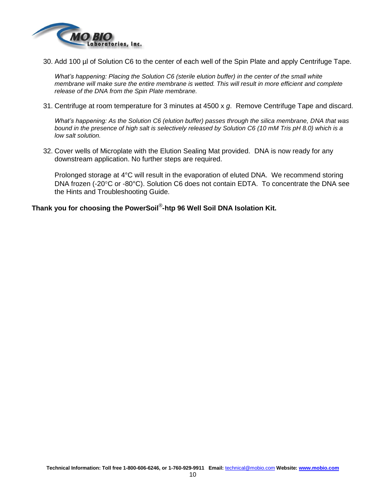

30. Add 100 µl of Solution C6 to the center of each well of the Spin Plate and apply Centrifuge Tape.

*What's happening: Placing the Solution C6 (sterile elution buffer) in the center of the small white membrane will make sure the entire membrane is wetted. This will result in more efficient and complete release of the DNA from the Spin Plate membrane.*

31. Centrifuge at room temperature for 3 minutes at 4500 x *g*. Remove Centrifuge Tape and discard.

*What's happening: As the Solution C6 (elution buffer) passes through the silica membrane, DNA that was bound in the presence of high salt is selectively released by Solution C6 (10 mM Tris pH 8.0) which is a low salt solution.*

32. Cover wells of Microplate with the Elution Sealing Mat provided. DNA is now ready for any downstream application. No further steps are required.

Prolonged storage at 4°C will result in the evaporation of eluted DNA. We recommend storing DNA frozen (-20 $\degree$ C or -80 $\degree$ C). Solution C6 does not contain EDTA. To concentrate the DNA see the Hints and Troubleshooting Guide.

**Thank you for choosing the PowerSoil**® **-htp 96 Well Soil DNA Isolation Kit.**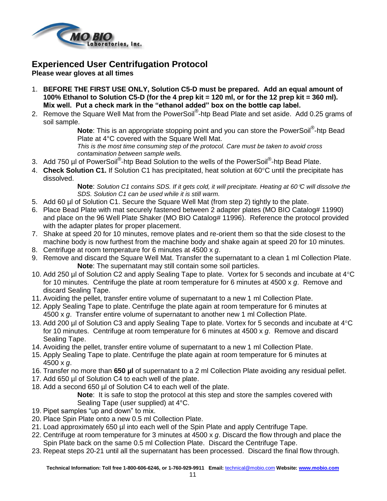

### **Experienced User Centrifugation Protocol**

**Please wear gloves at all times**

- 1. **BEFORE THE FIRST USE ONLY, Solution C5-D must be prepared. Add an equal amount of 100% Ethanol to Solution C5-D (for the 4 prep kit = 120 ml, or for the 12 prep kit = 360 ml). Mix well. Put a check mark in the "ethanol added" box on the bottle cap label.**
- 2. Remove the Square Well Mat from the PowerSoil<sup>®</sup>-htp Bead Plate and set aside. Add 0.25 grams of soil sample.

Note: This is an appropriate stopping point and you can store the PowerSoil<sup>®</sup>-htp Bead Plate at 4°C covered with the Square Well Mat.

*This is the most time consuming step of the protocol. Care must be taken to avoid cross contamination between sample wells.* 

- 3. Add 750 µl of PowerSoil<sup>®</sup>-htp Bead Solution to the wells of the PowerSoil<sup>®</sup>-htp Bead Plate.
- 4. **Check Solution C1.** If Solution C1 has precipitated, heat solution at 60°C until the precipitate has dissolved.

**Note**: *Solution C1 contains SDS. If it gets cold, it will precipitate. Heating at 60C will dissolve the SDS. Solution C1 can be used while it is still warm.*

- 5. Add 60 µl of Solution C1. Secure the Square Well Mat (from step 2) tightly to the plate.
- 6. Place Bead Plate with mat securely fastened between 2 adapter plates (MO BIO Catalog# 11990) and place on the 96 Well Plate Shaker (MO BIO Catalog# 11996). Reference the protocol provided with the adapter plates for proper placement.
- 7. Shake at speed 20 for 10 minutes, remove plates and re-orient them so that the side closest to the machine body is now furthest from the machine body and shake again at speed 20 for 10 minutes.
- 8. Centrifuge at room temperature for 6 minutes at 4500 x *g*.
- 9. Remove and discard the Square Well Mat. Transfer the supernatant to a clean 1 ml Collection Plate. **Note**: The supernatant may still contain some soil particles.
- 10. Add 250 µl of Solution C2 and apply Sealing Tape to plate. Vortex for 5 seconds and incubate at  $4^{\circ}$ C for 10 minutes. Centrifuge the plate at room temperature for 6 minutes at 4500 x *g*. Remove and discard Sealing Tape.
- 11. Avoiding the pellet, transfer entire volume of supernatant to a new 1 ml Collection Plate.
- 12. Apply Sealing Tape to plate. Centrifuge the plate again at room temperature for 6 minutes at 4500 x *g*. Transfer entire volume of supernatant to another new 1 ml Collection Plate.
- 13. Add 200 µl of Solution C3 and apply Sealing Tape to plate. Vortex for 5 seconds and incubate at 4°C for 10 minutes. Centrifuge at room temperature for 6 minutes at 4500 x *g*. Remove and discard Sealing Tape.
- 14. Avoiding the pellet, transfer entire volume of supernatant to a new 1 ml Collection Plate.
- 15. Apply Sealing Tape to plate. Centrifuge the plate again at room temperature for 6 minutes at 4500 x *g*.
- 16. Transfer no more than **650 µl** of supernatant to a 2 ml Collection Plate avoiding any residual pellet.
- 17. Add 650 µl of Solution C4 to each well of the plate.
- 18. Add a second 650 µl of Solution C4 to each well of the plate.

**Note**: It is safe to stop the protocol at this step and store the samples covered with Sealing Tape (user supplied) at 4°C.

- 19. Pipet samples "up and down" to mix.
- 20. Place Spin Plate onto a new 0.5 ml Collection Plate.
- 21. Load approximately 650 µl into each well of the Spin Plate and apply Centrifuge Tape.
- 22. Centrifuge at room temperature for 3 minutes at 4500 x *g*. Discard the flow through and place the Spin Plate back on the same 0.5 ml Collection Plate. Discard the Centrifuge Tape.
- 23. Repeat steps 20-21 until all the supernatant has been processed. Discard the final flow through.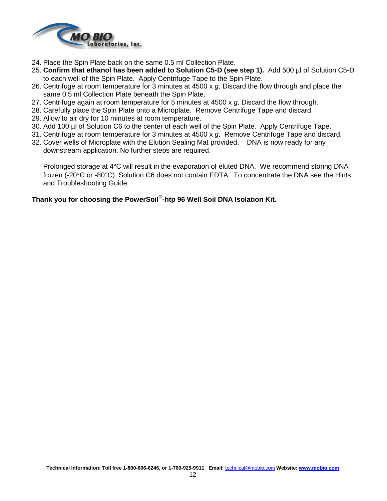

- 24. Place the Spin Plate back on the same 0.5 ml Collection Plate.
- 25. **Confirm that ethanol has been added to Solution C5-D (see step 1).** Add 500 µl of Solution C5-D to each well of the Spin Plate. Apply Centrifuge Tape to the Spin Plate.
- 26. Centrifuge at room temperature for 3 minutes at 4500 x *g*. Discard the flow through and place the same 0.5 ml Collection Plate beneath the Spin Plate.
- 27. Centrifuge again at room temperature for 5 minutes at 4500 x *g*. Discard the flow through.
- 28. Carefully place the Spin Plate onto a Microplate. Remove Centrifuge Tape and discard.
- 29. Allow to air dry for 10 minutes at room temperature.
- 30. Add 100 µl of Solution C6 to the center of each well of the Spin Plate. Apply Centrifuge Tape.
- 31. Centrifuge at room temperature for 3 minutes at 4500 x *g*. Remove Centrifuge Tape and discard.
- 32. Cover wells of Microplate with the Elution Sealing Mat provided. DNA is now ready for any downstream application. No further steps are required.

Prolonged storage at 4°C will result in the evaporation of eluted DNA. We recommend storing DNA frozen (-20°C or -80°C). Solution C6 does not contain EDTA. To concentrate the DNA see the Hints and Troubleshooting Guide.

### **Thank you for choosing the PowerSoil® -htp 96 Well Soil DNA Isolation Kit.**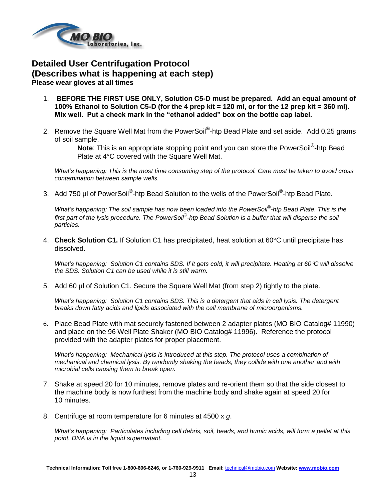

### **Detailed User Centrifugation Protocol (Describes what is happening at each step) Please wear gloves at all times**

- 1. **BEFORE THE FIRST USE ONLY, Solution C5-D must be prepared. Add an equal amount of 100% Ethanol to Solution C5-D (for the 4 prep kit = 120 ml, or for the 12 prep kit = 360 ml). Mix well. Put a check mark in the "ethanol added" box on the bottle cap label.**
- 2. Remove the Square Well Mat from the PowerSoil®-htp Bead Plate and set aside. Add 0.25 grams of soil sample.

Note: This is an appropriate stopping point and you can store the PowerSoil<sup>®</sup>-htp Bead Plate at 4°C covered with the Square Well Mat.

*What's happening: This is the most time consuming step of the protocol. Care must be taken to avoid cross contamination between sample wells.* 

3. Add 750 µl of PowerSoil®-htp Bead Solution to the wells of the PowerSoil®-htp Bead Plate.

*What's happening: The soil sample has now been loaded into the PowerSoil*® *-htp Bead Plate. This is the first part of the lysis procedure. The PowerSoil*® *-htp Bead Solution is a buffer that will disperse the soil particles.*

4. **Check Solution C1.** If Solution C1 has precipitated, heat solution at 60°C until precipitate has dissolved.

*What's happening: Solution C1 contains SDS. If it gets cold, it will precipitate. Heating at 60C will dissolve the SDS. Solution C1 can be used while it is still warm.*

5. Add 60 µl of Solution C1. Secure the Square Well Mat (from step 2) tightly to the plate.

*What's happening: Solution C1 contains SDS. This is a detergent that aids in cell lysis. The detergent breaks down fatty acids and lipids associated with the cell membrane of microorganisms.*

6. Place Bead Plate with mat securely fastened between 2 adapter plates (MO BIO Catalog# 11990) and place on the 96 Well Plate Shaker (MO BIO Catalog# 11996). Reference the protocol provided with the adapter plates for proper placement.

*What's happening: Mechanical lysis is introduced at this step. The protocol uses a combination of mechanical and chemical lysis. By randomly shaking the beads, they collide with one another and with microbial cells causing them to break open.*

- 7. Shake at speed 20 for 10 minutes, remove plates and re-orient them so that the side closest to the machine body is now furthest from the machine body and shake again at speed 20 for 10 minutes.
- 8. Centrifuge at room temperature for 6 minutes at 4500 x *g*.

*What's happening: Particulates including cell debris, soil, beads, and humic acids, will form a pellet at this point. DNA is in the liquid supernatant.*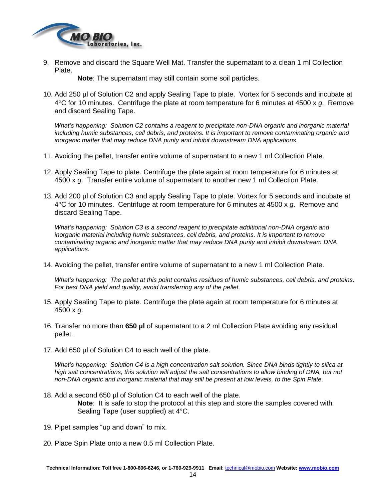

9. Remove and discard the Square Well Mat. Transfer the supernatant to a clean 1 ml Collection Plate.

**Note**: The supernatant may still contain some soil particles.

10. Add 250 µl of Solution C2 and apply Sealing Tape to plate. Vortex for 5 seconds and incubate at 4C for 10 minutes. Centrifuge the plate at room temperature for 6 minutes at 4500 x *g*. Remove and discard Sealing Tape.

*What's happening: Solution C2 contains a reagent to precipitate non-DNA organic and inorganic material including humic substances, cell debris, and proteins. It is important to remove contaminating organic and inorganic matter that may reduce DNA purity and inhibit downstream DNA applications.*

- 11. Avoiding the pellet, transfer entire volume of supernatant to a new 1 ml Collection Plate.
- 12. Apply Sealing Tape to plate. Centrifuge the plate again at room temperature for 6 minutes at 4500 x *g*. Transfer entire volume of supernatant to another new 1 ml Collection Plate.
- 13. Add 200 µl of Solution C3 and apply Sealing Tape to plate. Vortex for 5 seconds and incubate at 4C for 10 minutes. Centrifuge at room temperature for 6 minutes at 4500 x *g*. Remove and discard Sealing Tape.

*What's happening: Solution C3 is a second reagent to precipitate additional non-DNA organic and inorganic material including humic substances, cell debris, and proteins. It is important to remove contaminating organic and inorganic matter that may reduce DNA purity and inhibit downstream DNA applications.*

14. Avoiding the pellet, transfer entire volume of supernatant to a new 1 ml Collection Plate.

*What's happening: The pellet at this point contains residues of humic substances, cell debris, and proteins. For best DNA yield and quality, avoid transferring any of the pellet.*

- 15. Apply Sealing Tape to plate. Centrifuge the plate again at room temperature for 6 minutes at 4500 x *g*.
- 16. Transfer no more than **650 µl** of supernatant to a 2 ml Collection Plate avoiding any residual pellet.
- 17. Add 650 µl of Solution C4 to each well of the plate.

*What's happening: Solution C4 is a high concentration salt solution. Since DNA binds tightly to silica at high salt concentrations, this solution will adjust the salt concentrations to allow binding of DNA, but not non-DNA organic and inorganic material that may still be present at low levels, to the Spin Plate.*

- 18. Add a second 650 µl of Solution C4 to each well of the plate. **Note**: It is safe to stop the protocol at this step and store the samples covered with Sealing Tape (user supplied) at 4°C.
- 19. Pipet samples "up and down" to mix.
- 20. Place Spin Plate onto a new 0.5 ml Collection Plate.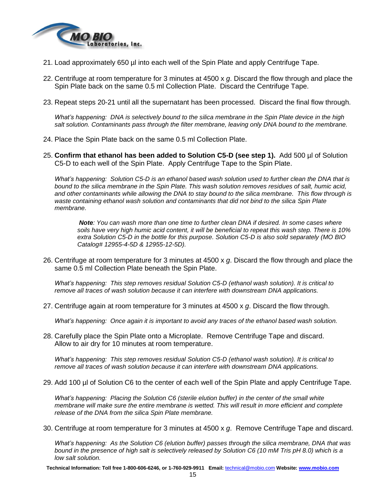

- 21. Load approximately 650 µl into each well of the Spin Plate and apply Centrifuge Tape.
- 22. Centrifuge at room temperature for 3 minutes at 4500 x *g*. Discard the flow through and place the Spin Plate back on the same 0.5 ml Collection Plate. Discard the Centrifuge Tape.
- 23. Repeat steps 20-21 until all the supernatant has been processed. Discard the final flow through.

*What's happening: DNA is selectively bound to the silica membrane in the Spin Plate device in the high salt solution. Contaminants pass through the filter membrane, leaving only DNA bound to the membrane.*

- 24. Place the Spin Plate back on the same 0.5 ml Collection Plate.
- 25. **Confirm that ethanol has been added to Solution C5-D (see step 1).** Add 500 µl of Solution C5-D to each well of the Spin Plate. Apply Centrifuge Tape to the Spin Plate.

*What's happening: Solution C5-D is an ethanol based wash solution used to further clean the DNA that is bound to the silica membrane in the Spin Plate. This wash solution removes residues of salt, humic acid, and other contaminants while allowing the DNA to stay bound to the silica membrane. This flow through is waste containing ethanol wash solution and contaminants that did not bind to the silica Spin Plate membrane.*

*Note: You can wash more than one time to further clean DNA if desired. In some cases where soils have very high humic acid content, it will be beneficial to repeat this wash step. There is 10% extra Solution C5-D in the bottle for this purpose. Solution C5-D is also sold separately (MO BIO Catalog# 12955-4-5D & 12955-12-5D).*

26. Centrifuge at room temperature for 3 minutes at 4500 x *g*. Discard the flow through and place the same 0.5 ml Collection Plate beneath the Spin Plate.

*What's happening: This step removes residual Solution C5-D (ethanol wash solution). It is critical to remove all traces of wash solution because it can interfere with downstream DNA applications.*

27. Centrifuge again at room temperature for 3 minutes at 4500 x *g*. Discard the flow through.

*What's happening: Once again it is important to avoid any traces of the ethanol based wash solution.*

28. Carefully place the Spin Plate onto a Microplate. Remove Centrifuge Tape and discard. Allow to air dry for 10 minutes at room temperature.

*What's happening: This step removes residual Solution C5-D (ethanol wash solution). It is critical to remove all traces of wash solution because it can interfere with downstream DNA applications.*

29. Add 100 µl of Solution C6 to the center of each well of the Spin Plate and apply Centrifuge Tape.

*What's happening: Placing the Solution C6 (sterile elution buffer) in the center of the small white membrane will make sure the entire membrane is wetted. This will result in more efficient and complete release of the DNA from the silica Spin Plate membrane.*

30. Centrifuge at room temperature for 3 minutes at 4500 x *g*. Remove Centrifuge Tape and discard.

*What's happening: As the Solution C6 (elution buffer) passes through the silica membrane, DNA that was bound in the presence of high salt is selectively released by Solution C6 (10 mM Tris pH 8.0) which is a low salt solution.*

**Technical Information: Toll free 1-800-606-6246, or 1-760-929-9911 Email:** [technical@mobio.com](mailto:technical@mobio.com) **Website: [www.mobio.com](http://www.mobio.com/)**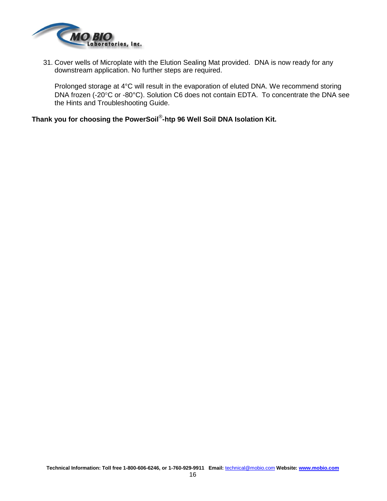

31. Cover wells of Microplate with the Elution Sealing Mat provided. DNA is now ready for any downstream application. No further steps are required.

Prolonged storage at 4°C will result in the evaporation of eluted DNA. We recommend storing DNA frozen (-20°C or -80°C). Solution C6 does not contain EDTA. To concentrate the DNA see the Hints and Troubleshooting Guide.

**Thank you for choosing the PowerSoil**® **-htp 96 Well Soil DNA Isolation Kit.**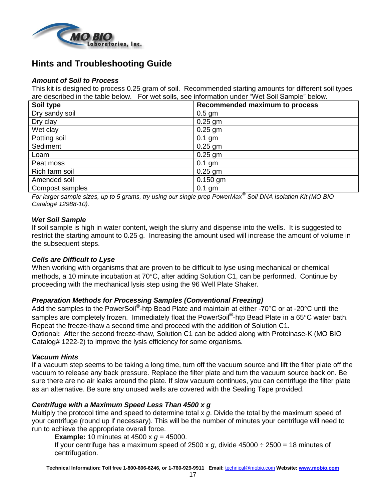

# **Hints and Troubleshooting Guide**

### *Amount of Soil to Process*

This kit is designed to process 0.25 gram of soil. Recommended starting amounts for different soil types are described in the table below. For wet soils, see information under "Wet Soil Sample" below.

| Soil type       | Recommended maximum to process |
|-----------------|--------------------------------|
| Dry sandy soil  | $0.5$ gm                       |
| Dry clay        | $0.25$ gm                      |
| Wet clay        | $0.25$ gm                      |
| Potting soil    | $0.1$ gm                       |
| Sediment        | $0.25$ gm                      |
| Loam            | $0.25$ gm                      |
| Peat moss       | $0.1$ gm                       |
| Rich farm soil  | $0.25$ gm                      |
| Amended soil    | $0.150$ gm                     |
| Compost samples | $0.1$ gm                       |

*For larger sample sizes, up to 5 grams, try using our single prep PowerMax® Soil DNA Isolation Kit (MO BIO Catalog# 12988-10).* 

### *Wet Soil Sample*

If soil sample is high in water content, weigh the slurry and dispense into the wells. It is suggested to restrict the starting amount to 0.25 g. Increasing the amount used will increase the amount of volume in the subsequent steps.

### *Cells are Difficult to Lyse*

When working with organisms that are proven to be difficult to lyse using mechanical or chemical methods, a 10 minute incubation at  $70^{\circ}$ C, after adding Solution C1, can be performed. Continue by proceeding with the mechanical lysis step using the 96 Well Plate Shaker.

### *Preparation Methods for Processing Samples (Conventional Freezing)*

Add the samples to the PowerSoil<sup>®</sup>-htp Bead Plate and maintain at either -70°C or at -20°C until the samples are completely frozen. Immediately float the PowerSoil<sup>®</sup>-htp Bead Plate in a 65°C water bath. Repeat the freeze-thaw a second time and proceed with the addition of Solution C1. Optional**:** After the second freeze-thaw, Solution C1 can be added along with Proteinase-K (MO BIO Catalog# 1222-2) to improve the lysis efficiency for some organisms.

### *Vacuum Hints*

If a vacuum step seems to be taking a long time, turn off the vacuum source and lift the filter plate off the vacuum to release any back pressure. Replace the filter plate and turn the vacuum source back on. Be sure there are no air leaks around the plate. If slow vacuum continues, you can centrifuge the filter plate as an alternative. Be sure any unused wells are covered with the Sealing Tape provided.

### *Centrifuge with a Maximum Speed Less Than 4500 x g*

Multiply the protocol time and speed to determine total x *g*. Divide the total by the maximum speed of your centrifuge (round up if necessary). This will be the number of minutes your centrifuge will need to run to achieve the appropriate overall force.

**Example:** 10 minutes at 4500 x *g* = 45000.

If your centrifuge has a maximum speed of 2500 x  $g$ , divide 45000  $\div$  2500 = 18 minutes of centrifugation.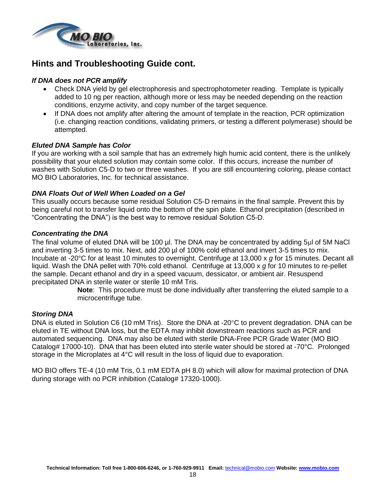

### **Hints and Troubleshooting Guide cont.**

### *If DNA does not PCR amplify*

- Check DNA yield by gel electrophoresis and spectrophotometer reading. Template is typically added to 10 ng per reaction, although more or less may be needed depending on the reaction conditions, enzyme activity, and copy number of the target sequence.
- If DNA does not amplify after altering the amount of template in the reaction, PCR optimization (i.e. changing reaction conditions, validating primers, or testing a different polymerase) should be attempted.

### *Eluted DNA Sample has Color*

If you are working with a soil sample that has an extremely high humic acid content, there is the unlikely possibility that your eluted solution may contain some color. If this occurs, increase the number of washes with Solution C5-D to two or three washes. If you are still encountering coloring, please contact MO BIO Laboratories, Inc. for technical assistance.

### *DNA Floats Out of Well When Loaded on a Gel*

This usually occurs because some residual Solution C5-D remains in the final sample. Prevent this by being careful not to transfer liquid onto the bottom of the spin plate. Ethanol precipitation (described in "Concentrating the DNA") is the best way to remove residual Solution C5-D.

### *Concentrating the DNA*

The final volume of eluted DNA will be 100 µl. The DNA may be concentrated by adding 5µl of 5M NaCl and inverting 3-5 times to mix. Next, add 200 µl of 100% cold ethanol and invert 3-5 times to mix. Incubate at -20°C for at least 10 minutes to overnight. Centrifuge at 13,000 x *g* for 15 minutes. Decant all liquid. Wash the DNA pellet with 70% cold ethanol. Centrifuge at 13,000 x *g* for 10 minutes to re-pellet the sample. Decant ethanol and dry in a speed vacuum, dessicator, or ambient air. Resuspend precipitated DNA in sterile water or sterile 10 mM Tris.

**Note**: This procedure must be done individually after transferring the eluted sample to a microcentrifuge tube.

### *Storing DNA*

DNA is eluted in Solution C6 (10 mM Tris). Store the DNA at -20 $\degree$ C to prevent degradation. DNA can be eluted in TE without DNA loss, but the EDTA may inhibit downstream reactions such as PCR and automated sequencing. DNA may also be eluted with sterile DNA-Free PCR Grade Water (MO BIO Catalog# 17000-10). DNA that has been eluted into sterile water should be stored at -70°C. Prolonged storage in the Microplates at 4°C will result in the loss of liquid due to evaporation.

MO BIO offers TE-4 (10 mM Tris, 0.1 mM EDTA pH 8.0) which will allow for maximal protection of DNA during storage with no PCR inhibition (Catalog# 17320-1000).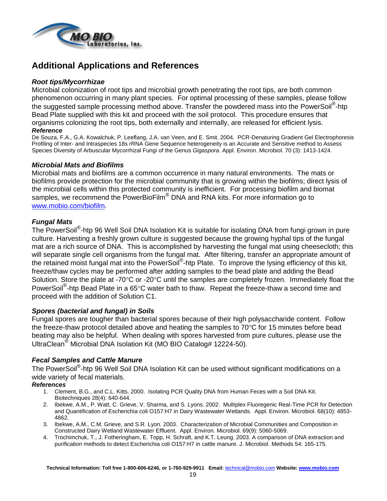

# **Additional Applications and References**

### *Root tips/Mycorrhizae*

Microbial colonization of root tips and microbial growth penetrating the root tips, are both common phenomenon occurring in many plant species. For optimal processing of these samples, please follow the suggested sample processing method above. Transfer the powdered mass into the PowerSoil<sup>®</sup>-htp Bead Plate supplied with this kit and proceed with the soil protocol. This procedure ensures that organisms colonizing the root tips, both externally and internally, are released for efficient lysis. *Reference*

De Souza, F.A., G.A. Kowalchuk, P. Leeflang, J.A. van Veen, and E. Smit. 2004. PCR-Denaturing Gradient Gel Electrophoresis Profiling of Inter- and Intraspecies 18s rRNA Gene Sequence heterogeneity is an Accurate and Sensitive method to Assess Species Diversity of Arbuscular Mycorrhizal Fungi of the Genus *Gigaspora*. Appl. Environ. Microbiol. 70 (3): 1413-1424.

### *Microbial Mats and Biofilms*

Microbial mats and biofilms are a common occurrence in many natural environments. The mats or biofilms provide protection for the microbial community that is growing within the biofilms; direct lysis of the microbial cells within this protected community is inefficient. For processing biofilm and biomat samples, we recommend the PowerBioFilm<sup>®</sup> DNA and RNA kits. For more information go to [www.mobio.com/biofilm.](http://www.mobio.com/biofilm)

### *Fungal Mats*

The PowerSoil<sup>®</sup>-htp 96 Well Soil DNA Isolation Kit is suitable for isolating DNA from fungi grown in pure culture. Harvesting a freshly grown culture is suggested because the growing hyphal tips of the fungal mat are a rich source of DNA. This is accomplished by harvesting the fungal mat using cheesecloth; this will separate single cell organisms from the fungal mat. After filtering, transfer an appropriate amount of the retained moist fungal mat into the PowerSoil<sup>®</sup>-htp Plate. To improve the lysing efficiency of this kit, freeze/thaw cycles may be performed after adding samples to the bead plate and adding the Bead Solution. Store the plate at -70°C or -20°C until the samples are completely frozen. Immediately float the PowerSoil<sup>®</sup>-htp Bead Plate in a 65°C water bath to thaw. Repeat the freeze-thaw a second time and proceed with the addition of Solution C1.

### *Spores (bacterial and fungal) in Soils*

Fungal spores are tougher than bacterial spores because of their high polysaccharide content. Follow the freeze-thaw protocol detailed above and heating the samples to  $70^{\circ}$ C for 15 minutes before bead beating may also be helpful. When dealing with spores harvested from pure cultures, please use the UltraClean® Microbial DNA Isolation Kit (MO BIO Catalog# 12224-50).

### *Fecal Samples and Cattle Manure*

The PowerSoil<sup>®</sup>-htp 96 Well Soil DNA Isolation Kit can be used without significant modifications on a wide variety of fecal materials.

### *References*

- 1. Clement, B.G., and C.L. Kitts. 2000. Isolating PCR Quality DNA from Human Feces with a Soil DNA Kit. Biotechniques 28(4): 640-644.
- 2. Ibekwe, A.M., P. Watt, C. Grieve, V. Sharma, and S. Lyons. 2002. Multiplex Fluoregenic Real-Time PCR for Detection and Quantification of Escherichia coli O157:H7 in Dairy Wastewater Wetlands. Appl. Environ. Microbiol. 68(10): 4853- 4862.
- 3. Ibekwe, A.M., C.M. Grieve, and S.R. Lyon. 2003. Characterization of Microbial Communities and Composition in Constructed Dairy Wetland Wastewater Effluent. Appl. Environ. Microbiol. 69(9): 5060-5069.
- 4. Trochimchuk, T., J. Fotheringham, E. Topp, H. Schraft, and K.T. Leung. 2003. A comparison of DNA extraction and purification methods to detect Escherichia coli O157:H7 in cattle manure. J. Microbiol. Methods 54: 165-175.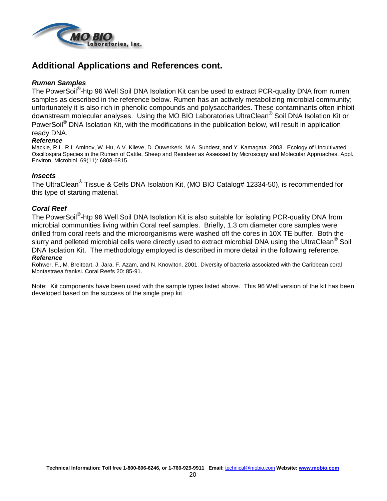

# **Additional Applications and References cont.**

### *Rumen Samples*

The PowerSoil<sup>®</sup>-htp 96 Well Soil DNA Isolation Kit can be used to extract PCR-quality DNA from rumen samples as described in the reference below. Rumen has an actively metabolizing microbial community; unfortunately it is also rich in phenolic compounds and polysaccharides. These contaminants often inhibit downstream molecular analyses. Using the MO BIO Laboratories UltraClean® Soil DNA Isolation Kit or PowerSoil<sup>®</sup> DNA Isolation Kit, with the modifications in the publication below, will result in application ready DNA.

#### *Reference*

Mackie, R.I.. R.I. Aminov, W. Hu, A.V. Klieve, D. Ouwerkerk, M.A. Sundest, and Y. Kamagata. 2003. Ecology of Uncultivated Oscillospira Species in the Rumen of Cattle, Sheep and Reindeer as Assessed by Microscopy and Molecular Approaches. Appl. Environ. Microbiol. 69(11): 6808-6815.

### *Insects*

The UltraClean<sup>®</sup> Tissue & Cells DNA Isolation Kit, (MO BIO Catalog# 12334-50), is recommended for this type of starting material.

### *Coral Reef*

The PowerSoil<sup>®</sup>-htp 96 Well Soil DNA Isolation Kit is also suitable for isolating PCR-quality DNA from microbial communities living within Coral reef samples. Briefly, 1.3 cm diameter core samples were drilled from coral reefs and the microorganisms were washed off the cores in 10X TE buffer. Both the slurry and pelleted microbial cells were directly used to extract microbial DNA using the UltraClean<sup>®</sup> Soil DNA Isolation Kit. The methodology employed is described in more detail in the following reference. *Reference*

#### Rohwer, F., M. Breitbart, J. Jara, F. Azam, and N. Knowlton. 2001. Diversity of bacteria associated with the Caribbean coral Montastraea franksi. Coral Reefs 20: 85-91.

Note: Kit components have been used with the sample types listed above. This 96 Well version of the kit has been developed based on the success of the single prep kit.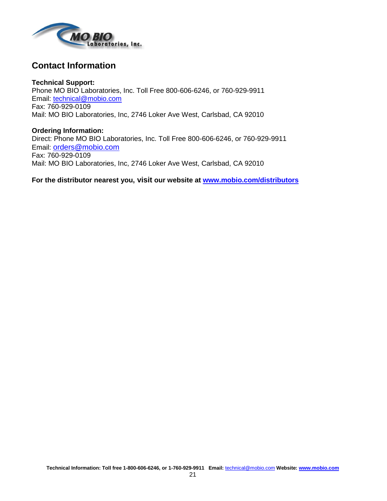

# **Contact Information**

**Technical Support:** Phone MO BIO Laboratories, Inc. Toll Free 800-606-6246, or 760-929-9911 Email: [technical@mobio.com](mailto:technical@mobio.com) Fax: 760-929-0109 Mail: MO BIO Laboratories, Inc, 2746 Loker Ave West, Carlsbad, CA 92010

**Ordering Information:** Direct: Phone MO BIO Laboratories, Inc. Toll Free 800-606-6246, or 760-929-9911 Email: [orders@mobio.com](mailto:orders@mobio.com) Fax: 760-929-0109 Mail: MO BIO Laboratories, Inc, 2746 Loker Ave West, Carlsbad, CA 92010

**For the distributor nearest you, visit our website at www.mobio.com/distributors**